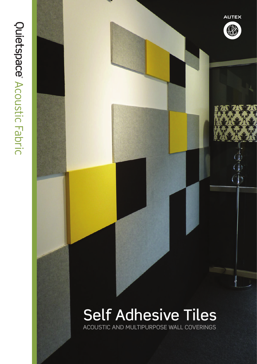



**AUTEX** 

B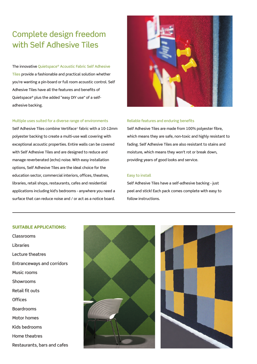## Complete design freedom with Self Adhesive Tiles

The innovative Quietspace® Acoustic Fabric Self Adhesive Tiles provide a fashionable and practical solution whether you're wanting a pin-board or full room acoustic control. Self Adhesive Tiles have all the features and benefits of Quietspace® plus the added "easy DIY use" of a selfadhesive backing.

### Multiple uses suited for a diverse range of environments

Self Adhesive Tiles combine Vertiface® fabric with a 10-12mm polyester backing to create a multi-use wall covering with exceptional acoustic properties. Entire walls can be covered with Self Adhesive Tiles and are designed to reduce and manage reverberated (echo) noise. With easy installation options, Self Adhesive Tiles are the ideal choice for the education sector, commercial interiors, offices, theatres, libraries, retail shops, restaurants, cafes and residential applications including kid's bedrooms - anywhere you need a surface that can reduce noise and / or act as a notice board.



### Reliable features and enduring benefits

Self Adhesive Tiles are made from 100% polyester fibre, which means they are safe, non-toxic and highly resistant to fading. Self Adhesive Tiles are also resistant to stains and moisture, which means they won't rot or break down, providing years of good looks and service.

#### Easy to install

Self Adhesive Tiles have a self-adhesive backing - just peel and stick! Each pack comes complete with easy to follow instructions.

### SUITABLE APPLICATIONS:

Classrooms Libraries Lecture theatres Entranceways and corridors Music rooms Showrooms Retail fit outs **Offices** Boardrooms Motor homes Kids bedrooms Home theatres Restaurants, bars and cafes



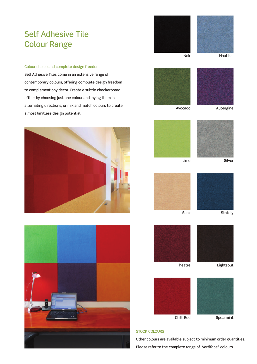## Self Adhesive Tile Colour Range

### Colour choice and complete design freedom

Self Adhesive Tiles come in an extensive range of contemporary colours, offering complete design freedom to complement any decor. Create a subtle checkerboard effect by choosing just one colour and laying them in alternating directions, or mix and match colours to create almost limitless design potential.













Avocado Aubergine









Sanz Stately





#### STOCK COLOURS

Other colours are available subject to minimum order quantities. Please refer to the complete range of Vertiface® colours.